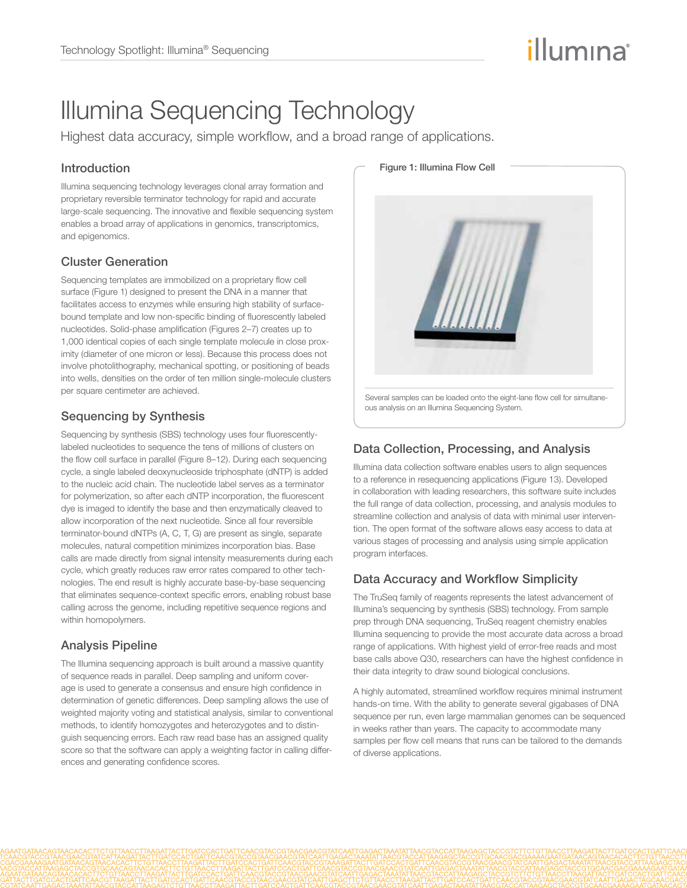# illumına

## Illumina Sequencing Technology

Highest data accuracy, simple workflow, and a broad range of applications.

#### Introduction

Illumina sequencing technology leverages clonal array formation and proprietary reversible terminator technology for rapid and accurate large-scale sequencing. The innovative and flexible sequencing system enables a broad array of applications in genomics, transcriptomics, and epigenomics.

## Cluster Generation

Sequencing templates are immobilized on a proprietary flow cell surface (Figure 1) designed to present the DNA in a manner that facilitates access to enzymes while ensuring high stability of surfacebound template and low non-specific binding of fluorescently labeled nucleotides. Solid-phase amplification (Figures 2–7) creates up to 1,000 identical copies of each single template molecule in close proximity (diameter of one micron or less). Because this process does not involve photolithography, mechanical spotting, or positioning of beads into wells, densities on the order of ten million single-molecule clusters per square centimeter are achieved.

## Sequencing by Synthesis

Sequencing by synthesis (SBS) technology uses four fluorescentlylabeled nucleotides to sequence the tens of millions of clusters on the flow cell surface in parallel (Figure 8–12). During each sequencing cycle, a single labeled deoxynucleoside triphosphate (dNTP) is added to the nucleic acid chain. The nucleotide label serves as a terminator for polymerization, so after each dNTP incorporation, the fluorescent dye is imaged to identify the base and then enzymatically cleaved to allow incorporation of the next nucleotide. Since all four reversible terminator-bound dNTPs (A, C, T, G) are present as single, separate molecules, natural competition minimizes incorporation bias. Base calls are made directly from signal intensity measurements during each cycle, which greatly reduces raw error rates compared to other technologies. The end result is highly accurate base-by-base sequencing that eliminates sequence-context specific errors, enabling robust base calling across the genome, including repetitive sequence regions and within homopolymers.

## Analysis Pipeline

The Illumina sequencing approach is built around a massive quantity of sequence reads in parallel. Deep sampling and uniform coverage is used to generate a consensus and ensure high confidence in determination of genetic differences. Deep sampling allows the use of weighted majority voting and statistical analysis, similar to conventional methods, to identify homozygotes and heterozygotes and to distinguish sequencing errors. Each raw read base has an assigned quality score so that the software can apply a weighting factor in calling differences and generating confidence scores.



## Data Collection, Processing, and Analysis

Illumina data collection software enables users to align sequences to a reference in resequencing applications (Figure 13). Developed in collaboration with leading researchers, this software suite includes the full range of data collection, processing, and analysis modules to streamline collection and analysis of data with minimal user intervention. The open format of the software allows easy access to data at various stages of processing and analysis using simple application program interfaces.

## Data Accuracy and Workflow Simplicity

The TruSeq family of reagents represents the latest advancement of Illumina's sequencing by synthesis (SBS) technology. From sample prep through DNA sequencing, TruSeq reagent chemistry enables Illumina sequencing to provide the most accurate data across a broad range of applications. With highest yield of error-free reads and most base calls above Q30, researchers can have the highest confidence in their data integrity to draw sound biological conclusions.

A highly automated, streamlined workflow requires minimal instrument hands-on time. With the ability to generate several gigabases of DNA sequence per run, even large mammalian genomes can be sequenced in weeks rather than years. The capacity to accommodate many samples per flow cell means that runs can be tailored to the demands of diverse applications.

#### Figure 1: Illumina Flow Cell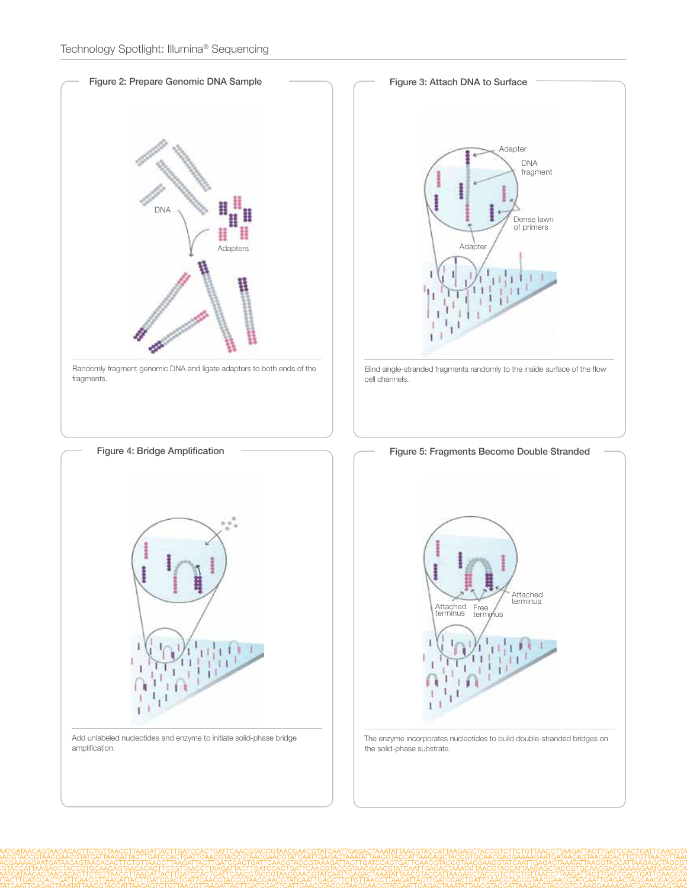

Randomly fragment genomic DNA and ligate adapters to both ends of the fragments.



Add unlabeled nucleotides and enzyme to initiate solid-phase bridge amplification.



- cell channels.
	- Figure 5: Fragments Become Double Stranded



The enzyme incorporates nucleotides to build double-stranded bridges on the solid-phase substrate.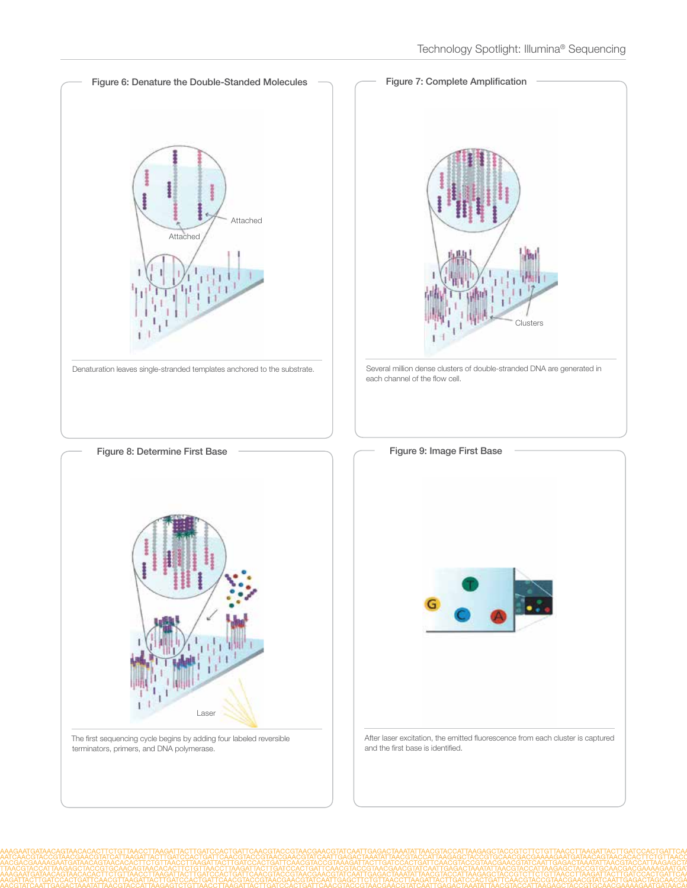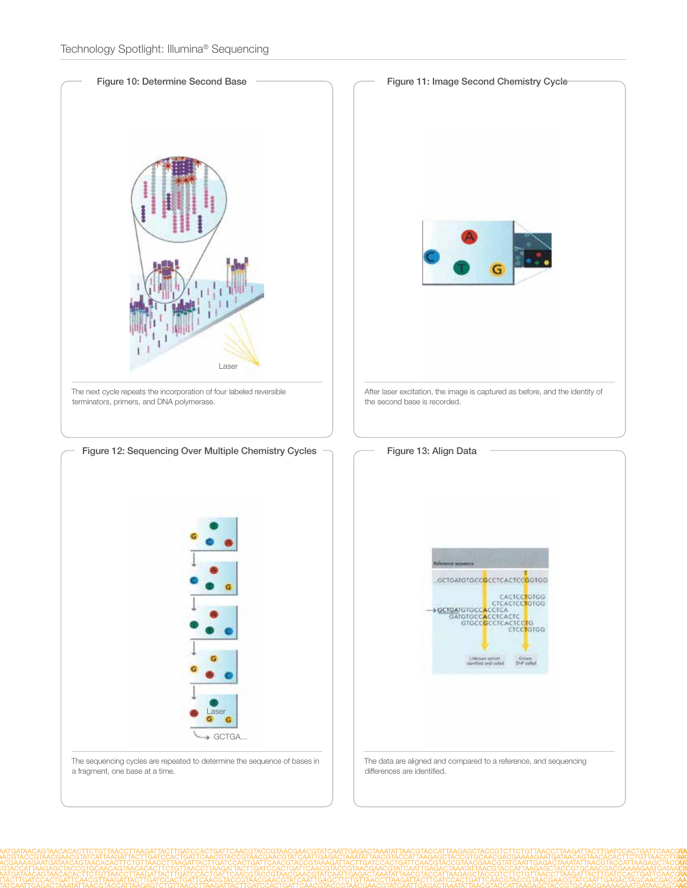